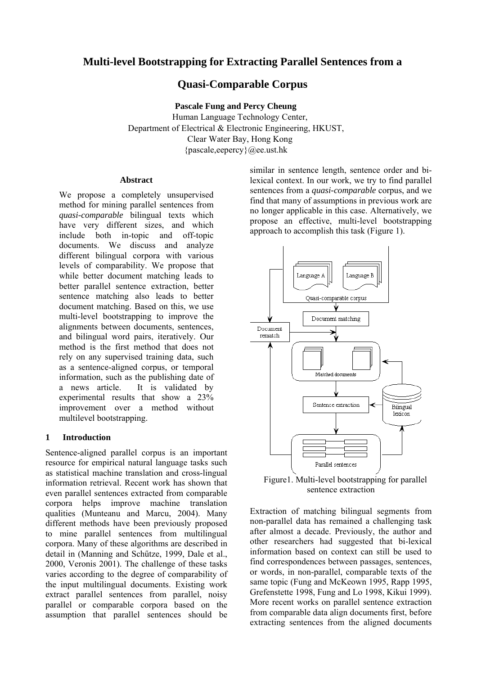# **Multi-level Bootstrapping for Extracting Parallel Sentences from a**

# **Quasi-Comparable Corpus**

**Pascale Fung and Percy Cheung**  Human Language Technology Center, Department of Electrical & Electronic Engineering, HKUST, Clear Water Bay, Hong Kong {pascale,eepercy}@ee.ust.hk

#### **Abstract**

We propose a completely unsupervised method for mining parallel sentences from *quasi-comparable* bilingual texts which have very different sizes, and which include both in-topic and off-topic documents. We discuss and analyze different bilingual corpora with various levels of comparability. We propose that while better document matching leads to better parallel sentence extraction, better sentence matching also leads to better document matching. Based on this, we use multi-level bootstrapping to improve the alignments between documents, sentences, and bilingual word pairs, iteratively. Our method is the first method that does not rely on any supervised training data, such as a sentence-aligned corpus, or temporal information, such as the publishing date of a news article. It is validated by experimental results that show a 23% improvement over a method without multilevel bootstrapping.

#### **1 Introduction**

Sentence-aligned parallel corpus is an important resource for empirical natural language tasks such as statistical machine translation and cross-lingual information retrieval. Recent work has shown that even parallel sentences extracted from comparable corpora helps improve machine translation qualities (Munteanu and Marcu, 2004). Many different methods have been previously proposed to mine parallel sentences from multilingual corpora. Many of these algorithms are described in detail in (Manning and Schűtze, 1999, Dale et al., 2000, Veronis 2001). The challenge of these tasks varies according to the degree of comparability of the input multilingual documents. Existing work extract parallel sentences from parallel, noisy parallel or comparable corpora based on the assumption that parallel sentences should be

similar in sentence length, sentence order and bilexical context. In our work, we try to find parallel sentences from a *quasi-comparable* corpus, and we find that many of assumptions in previous work are no longer applicable in this case. Alternatively, we propose an effective, multi-level bootstrapping approach to accomplish this task (Figure 1).



Figure1. Multi-level bootstrapping for parallel sentence extraction

Extraction of matching bilingual segments from non-parallel data has remained a challenging task after almost a decade. Previously, the author and other researchers had suggested that bi-lexical information based on context can still be used to find correspondences between passages, sentences, or words, in non-parallel, comparable texts of the same topic (Fung and McKeown 1995, Rapp 1995, Grefenstette 1998, Fung and Lo 1998, Kikui 1999). More recent works on parallel sentence extraction from comparable data align documents first, before extracting sentences from the aligned documents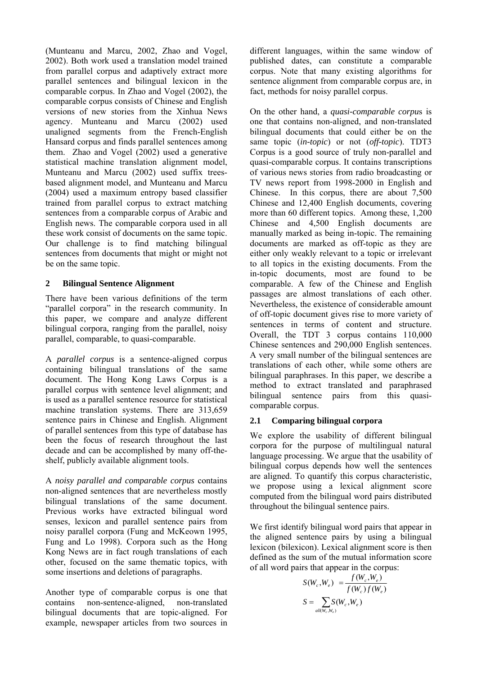(Munteanu and Marcu, 2002, Zhao and Vogel, 2002). Both work used a translation model trained from parallel corpus and adaptively extract more parallel sentences and bilingual lexicon in the comparable corpus. In Zhao and Vogel (2002), the comparable corpus consists of Chinese and English versions of new stories from the Xinhua News agency. Munteanu and Marcu (2002) used unaligned segments from the French-English Hansard corpus and finds parallel sentences among them. Zhao and Vogel (2002) used a generative statistical machine translation alignment model, Munteanu and Marcu (2002) used suffix treesbased alignment model, and Munteanu and Marcu (2004) used a maximum entropy based classifier trained from parallel corpus to extract matching sentences from a comparable corpus of Arabic and English news. The comparable corpora used in all these work consist of documents on the same topic. Our challenge is to find matching bilingual sentences from documents that might or might not be on the same topic.

### **2 Bilingual Sentence Alignment**

There have been various definitions of the term "parallel corpora" in the research community. In this paper, we compare and analyze different bilingual corpora, ranging from the parallel, noisy parallel, comparable, to quasi-comparable.

A *parallel corpus* is a sentence-aligned corpus containing bilingual translations of the same document. The Hong Kong Laws Corpus is a parallel corpus with sentence level alignment; and is used as a parallel sentence resource for statistical machine translation systems. There are 313,659 sentence pairs in Chinese and English. Alignment of parallel sentences from this type of database has been the focus of research throughout the last decade and can be accomplished by many off-theshelf, publicly available alignment tools.

A *noisy parallel and comparable corpus* contains non-aligned sentences that are nevertheless mostly bilingual translations of the same document. Previous works have extracted bilingual word senses, lexicon and parallel sentence pairs from noisy parallel corpora (Fung and McKeown 1995, Fung and Lo 1998). Corpora such as the Hong Kong News are in fact rough translations of each other, focused on the same thematic topics, with some insertions and deletions of paragraphs.

Another type of comparable corpus is one that contains non-sentence-aligned, non-translated bilingual documents that are topic-aligned. For example, newspaper articles from two sources in different languages, within the same window of published dates, can constitute a comparable corpus. Note that many existing algorithms for sentence alignment from comparable corpus are, in fact, methods for noisy parallel corpus.

On the other hand, a *quasi-comparable corpu*s is one that contains non-aligned, and non-translated bilingual documents that could either be on the same topic (*in-topic*) or not (*off-topic*). TDT3 Corpus is a good source of truly non-parallel and quasi-comparable corpus. It contains transcriptions of various news stories from radio broadcasting or TV news report from 1998-2000 in English and Chinese. In this corpus, there are about 7,500 Chinese and 12,400 English documents, covering more than 60 different topics. Among these, 1,200 Chinese and 4,500 English documents are manually marked as being in-topic. The remaining documents are marked as off-topic as they are either only weakly relevant to a topic or irrelevant to all topics in the existing documents. From the in-topic documents, most are found to be comparable. A few of the Chinese and English passages are almost translations of each other. Nevertheless, the existence of considerable amount of off-topic document gives rise to more variety of sentences in terms of content and structure. Overall, the TDT 3 corpus contains 110,000 Chinese sentences and 290,000 English sentences. A very small number of the bilingual sentences are translations of each other, while some others are bilingual paraphrases. In this paper, we describe a method to extract translated and paraphrased bilingual sentence pairs from this quasicomparable corpus.

# **2.1 Comparing bilingual corpora**

We explore the usability of different bilingual corpora for the purpose of multilingual natural language processing. We argue that the usability of bilingual corpus depends how well the sentences are aligned. To quantify this corpus characteristic, we propose using a lexical alignment score computed from the bilingual word pairs distributed throughout the bilingual sentence pairs.

We first identify bilingual word pairs that appear in the aligned sentence pairs by using a bilingual lexicon (bilexicon). Lexical alignment score is then defined as the sum of the mutual information score of all word pairs that appear in the corpus:

$$
S(W_c, W_e) = \frac{f(W_c, W_e)}{f(W_c) f(W_e)}
$$

$$
S = \sum_{all(W_c, W_e)} S(W_c, W_e)
$$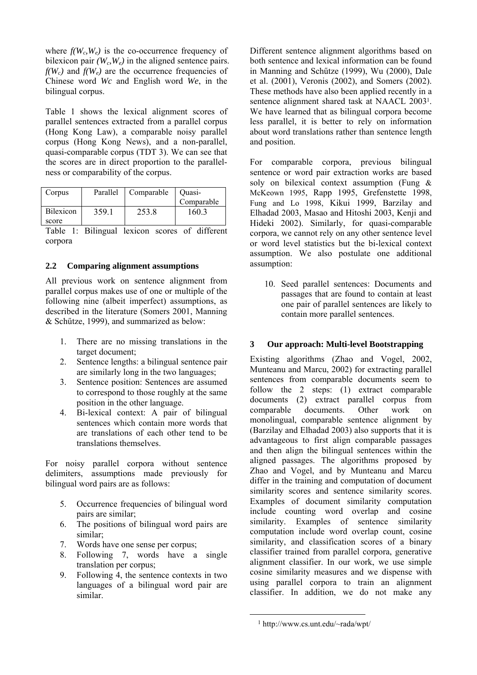where  $f(W_c, W_e)$  is the co-occurrence frequency of bilexicon pair  $(W_c, W_e)$  in the aligned sentence pairs.  $f(W_c)$  and  $f(W_e)$  are the occurrence frequencies of Chinese word *Wc* and English word *We*, in the bilingual corpus.

Table 1 shows the lexical alignment scores of parallel sentences extracted from a parallel corpus (Hong Kong Law), a comparable noisy parallel corpus (Hong Kong News), and a non-parallel, quasi-comparable corpus (TDT 3). We can see that the scores are in direct proportion to the parallelness or comparability of the corpus.

| Corpus    | Parallel | Comparable | Ouasi-     |
|-----------|----------|------------|------------|
|           |          |            | Comparable |
| Bilexicon | 359.1    | 253.8      | 1603       |
| score     |          |            |            |

Table 1: Bilingual lexicon scores of different corpora

#### **2.2 Comparing alignment assumptions**

All previous work on sentence alignment from parallel corpus makes use of one or multiple of the following nine (albeit imperfect) assumptions, as described in the literature (Somers 2001, Manning & Schűtze, 1999), and summarized as below:

- 1. There are no missing translations in the target document;
- 2. Sentence lengths: a bilingual sentence pair are similarly long in the two languages;
- 3. Sentence position: Sentences are assumed to correspond to those roughly at the same position in the other language.
- 4. Bi-lexical context: A pair of bilingual sentences which contain more words that are translations of each other tend to be translations themselves.

For noisy parallel corpora without sentence delimiters, assumptions made previously for bilingual word pairs are as follows:

- 5. Occurrence frequencies of bilingual word pairs are similar;
- 6. The positions of bilingual word pairs are similar;
- 7. Words have one sense per corpus;
- 8. Following 7, words have a single translation per corpus;
- 9. Following 4, the sentence contexts in two languages of a bilingual word pair are similar.

Different sentence alignment algorithms based on both sentence and lexical information can be found in Manning and Schűtze (1999), Wu (2000), Dale et al. (2001), Veronis (2002), and Somers (2002). These methods have also been applied recently in a sentence alignment shared task at NAACL 2003[1.](#page-2-0) We have learned that as bilingual corpora become less parallel, it is better to rely on information about word translations rather than sentence length and position.

For comparable corpora, previous bilingual sentence or word pair extraction works are based soly on bilexical context assumption (Fung & McKeown 1995, Rapp 1995, Grefenstette 1998, Fung and Lo 1998, Kikui 1999, Barzilay and Elhadad 2003, Masao and Hitoshi 2003, Kenji and Hideki 2002). Similarly, for quasi-comparable corpora, we cannot rely on any other sentence level or word level statistics but the bi-lexical context assumption. We also postulate one additional assumption:

10. Seed parallel sentences: Documents and passages that are found to contain at least one pair of parallel sentences are likely to contain more parallel sentences.

# **3 Our approach: Multi-level Bootstrapping**

Existing algorithms (Zhao and Vogel, 2002, Munteanu and Marcu, 2002) for extracting parallel sentences from comparable documents seem to follow the 2 steps: (1) extract comparable documents (2) extract parallel corpus from comparable documents. Other work on monolingual, comparable sentence alignment by (Barzilay and Elhadad 2003) also supports that it is advantageous to first align comparable passages and then align the bilingual sentences within the aligned passages. The algorithms proposed by Zhao and Vogel, and by Munteanu and Marcu differ in the training and computation of document similarity scores and sentence similarity scores. Examples of document similarity computation include counting word overlap and cosine similarity. Examples of sentence similarity computation include word overlap count, cosine similarity, and classification scores of a binary classifier trained from parallel corpora, generative alignment classifier. In our work, we use simple cosine similarity measures and we dispense with using parallel corpora to train an alignment classifier. In addition, we do not make any

<span id="page-2-0"></span> <sup>1</sup> http://www.cs.unt.edu/~rada/wpt/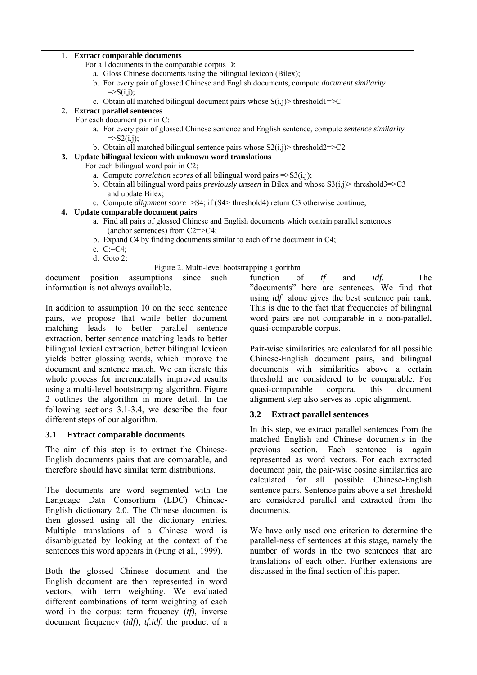| 1. Extract comparable documents                                                                              |  |  |  |
|--------------------------------------------------------------------------------------------------------------|--|--|--|
|                                                                                                              |  |  |  |
| For all documents in the comparable corpus D:                                                                |  |  |  |
| a. Gloss Chinese documents using the bilingual lexicon (Bilex);                                              |  |  |  |
| b. For every pair of glossed Chinese and English documents, compute <i>document similarity</i>               |  |  |  |
| $=\equiv S(i,j);$                                                                                            |  |  |  |
| c. Obtain all matched bilingual document pairs whose $S(i,j)$ threshold $l = > C$                            |  |  |  |
| 2. Extract parallel sentences                                                                                |  |  |  |
| For each document pair in C:                                                                                 |  |  |  |
| a. For every pair of glossed Chinese sentence and English sentence, compute sentence similarity              |  |  |  |
| $=\frac{S_2(i,j)}{S_2(i,j)}$                                                                                 |  |  |  |
| b. Obtain all matched bilingual sentence pairs whose $S_2(i,j)$ threshold $2 = C_2$                          |  |  |  |
| 3. Update bilingual lexicon with unknown word translations                                                   |  |  |  |
| For each bilingual word pair in C2;                                                                          |  |  |  |
| a. Compute <i>correlation scores</i> of all bilingual word pairs $\Rightarrow S3(i,j)$ ;                     |  |  |  |
| b. Obtain all bilingual word pairs <i>previously unseen</i> in Bilex and whose $S3(i,j)$ threshold $3 = 2C3$ |  |  |  |
| and update Bilex;                                                                                            |  |  |  |
|                                                                                                              |  |  |  |
| c. Compute <i>alignment score</i> => $S4$ ; if ( $S4$ > threshold4) return C3 otherwise continue;            |  |  |  |
| 4. Update comparable document pairs                                                                          |  |  |  |
| a. Find all pairs of glossed Chinese and English documents which contain parallel sentences                  |  |  |  |
| (anchor sentences) from C2=>C4;                                                                              |  |  |  |
| b. Expand C4 by finding documents similar to each of the document in C4;                                     |  |  |  |
| c. $C:=C4$ ;                                                                                                 |  |  |  |
| d. Goto $2$ ;                                                                                                |  |  |  |
| Figure 2. Multi-level bootstrapping algorithm                                                                |  |  |  |
| idf.<br>document<br>position<br>of<br>tf<br>assumptions<br>function<br>such<br>and<br>since                  |  |  |  |
| information is not always available.<br>"documents" here are sentences. We find the                          |  |  |  |
|                                                                                                              |  |  |  |

In addition to assumption 10 on the seed sentence pairs, we propose that while better document matching leads to better parallel sentence extraction, better sentence matching leads to better bilingual lexical extraction, better bilingual lexicon yields better glossing words, which improve the document and sentence match. We can iterate this whole process for incrementally improved results using a multi-level bootstrapping algorithm. Figure 2 outlines the algorithm in more detail. In the following sections 3.1-3.4, we describe the four different steps of our algorithm.

#### **3.1 Extract comparable documents**

The aim of this step is to extract the Chinese-English documents pairs that are comparable, and therefore should have similar term distributions.

The documents are word segmented with the Language Data Consortium (LDC) Chinese-English dictionary 2.0. The Chinese document is then glossed using all the dictionary entries. Multiple translations of a Chinese word is disambiguated by looking at the context of the sentences this word appears in (Fung et al., 1999).

Both the glossed Chinese document and the English document are then represented in word vectors, with term weighting. We evaluated different combinations of term weighting of each word in the corpus: term freuency (*tf),* inverse document frequency (*idf)*, *tf.idf*, the product of a

function of *tf* and *idf*. The "documents" here are sentences. We find that using *idf* alone gives the best sentence pair rank. This is due to the fact that frequencies of bilingual word pairs are not comparable in a non-parallel, quasi-comparable corpus.

Pair-wise similarities are calculated for all possible Chinese-English document pairs, and bilingual documents with similarities above a certain threshold are considered to be comparable. For quasi-comparable corpora, this document alignment step also serves as topic alignment.

# **3.2 Extract parallel sentences**

In this step, we extract parallel sentences from the matched English and Chinese documents in the previous section. Each sentence is again represented as word vectors. For each extracted document pair, the pair-wise cosine similarities are calculated for all possible Chinese-English sentence pairs. Sentence pairs above a set threshold are considered parallel and extracted from the documents.

We have only used one criterion to determine the parallel-ness of sentences at this stage, namely the number of words in the two sentences that are translations of each other. Further extensions are discussed in the final section of this paper.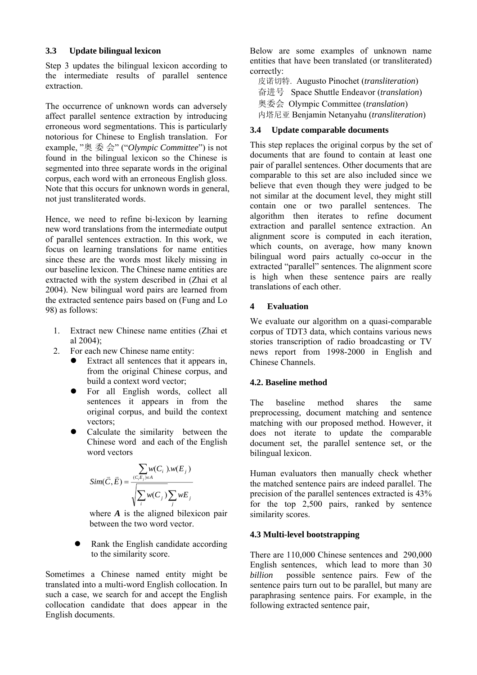### **3.3 Update bilingual lexicon**

Step 3 updates the bilingual lexicon according to the intermediate results of parallel sentence extraction.

The occurrence of unknown words can adversely affect parallel sentence extraction by introducing erroneous word segmentations. This is particularly notorious for Chinese to English translation. For example, "奥 委 会" ("*Olympic Committee*") is not found in the bilingual lexicon so the Chinese is segmented into three separate words in the original corpus, each word with an erroneous English gloss. Note that this occurs for unknown words in general, not just transliterated words.

Hence, we need to refine bi-lexicon by learning new word translations from the intermediate output of parallel sentences extraction. In this work, we focus on learning translations for name entities since these are the words most likely missing in our baseline lexicon. The Chinese name entities are extracted with the system described in (Zhai et al 2004). New bilingual word pairs are learned from the extracted sentence pairs based on (Fung and Lo 98) as follows:

- 1. Extract new Chinese name entities (Zhai et al 2004);
- 2. For each new Chinese name entity:
	- $\bullet$  Extract all sentences that it appears in, from the original Chinese corpus, and build a context word vector;
	- For all English words, collect all sentences it appears in from the original corpus, and build the context vectors;
	- Calculate the similarity between the Chinese word and each of the English word vectors

$$
Sim(\vec{C}, \vec{E}) = \frac{\sum_{(C_i E_j) \in A} w(C_i) w(E_j)}{\sqrt{\sum_i w(C_j) \sum_j wE_j}}
$$

where *A* is the aligned bilexicon pair between the two word vector.

Rank the English candidate according to the similarity score.

Sometimes a Chinese named entity might be translated into a multi-word English collocation. In such a case, we search for and accept the English collocation candidate that does appear in the English documents.

Below are some examples of unknown name entities that have been translated (or transliterated) correctly:

皮诺切特. Augusto Pinochet (*transliteration*) 奋进号 Space Shuttle Endeavor (*translation*) 奥委会 Olympic Committee (*translation*) 内塔尼亚 Benjamin Netanyahu (*transliteration*)

# **3.4 Update comparable documents**

This step replaces the original corpus by the set of documents that are found to contain at least one pair of parallel sentences. Other documents that are comparable to this set are also included since we believe that even though they were judged to be not similar at the document level, they might still contain one or two parallel sentences. The algorithm then iterates to refine document extraction and parallel sentence extraction. An alignment score is computed in each iteration, which counts, on average, how many known bilingual word pairs actually co-occur in the extracted "parallel" sentences. The alignment score is high when these sentence pairs are really translations of each other.

# **4 Evaluation**

We evaluate our algorithm on a quasi-comparable corpus of TDT3 data, which contains various news stories transcription of radio broadcasting or TV news report from 1998-2000 in English and Chinese Channels.

# **4.2. Baseline method**

The baseline method shares the same preprocessing, document matching and sentence matching with our proposed method. However, it does not iterate to update the comparable document set, the parallel sentence set, or the bilingual lexicon.

Human evaluators then manually check whether the matched sentence pairs are indeed parallel. The precision of the parallel sentences extracted is 43% for the top 2,500 pairs, ranked by sentence similarity scores.

# **4.3 Multi-level bootstrapping**

There are 110,000 Chinese sentences and 290,000 English sentences, which lead to more than 30 *billion* possible sentence pairs. Few of the sentence pairs turn out to be parallel, but many are paraphrasing sentence pairs. For example, in the following extracted sentence pair,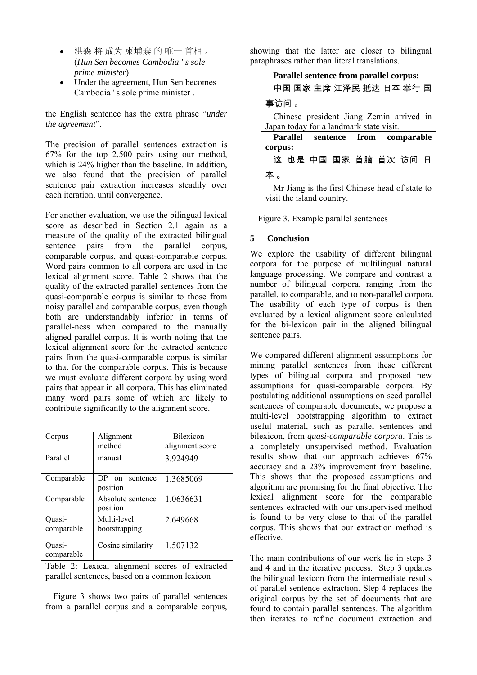- 洪森 将 成为 柬埔寨 的 唯一 首相 。 (*Hun Sen becomes Cambodia ' s sole prime minister*)
- Under the agreement, Hun Sen becomes Cambodia ' s sole prime minister .

the English sentence has the extra phrase "*under the agreement*".

The precision of parallel sentences extraction is 67% for the top 2,500 pairs using our method, which is 24% higher than the baseline. In addition, we also found that the precision of parallel sentence pair extraction increases steadily over each iteration, until convergence.

For another evaluation, we use the bilingual lexical score as described in Section 2.1 again as a measure of the quality of the extracted bilingual sentence pairs from the parallel corpus, comparable corpus, and quasi-comparable corpus. Word pairs common to all corpora are used in the lexical alignment score. Table 2 shows that the quality of the extracted parallel sentences from the quasi-comparable corpus is similar to those from noisy parallel and comparable corpus, even though both are understandably inferior in terms of parallel-ness when compared to the manually aligned parallel corpus. It is worth noting that the lexical alignment score for the extracted sentence pairs from the quasi-comparable corpus is similar to that for the comparable corpus. This is because we must evaluate different corpora by using word pairs that appear in all corpora. This has eliminated many word pairs some of which are likely to contribute significantly to the alignment score.

| Corpus               | Alignment<br>method                       | <b>Bilexicon</b><br>alignment score |
|----------------------|-------------------------------------------|-------------------------------------|
| Parallel             | manual                                    | 3.924949                            |
| Comparable           | DР<br>sentence<br>$_{\rm on}$<br>position | 1.3685069                           |
| Comparable           | Absolute sentence<br>position             | 1.0636631                           |
| Ouasi-<br>comparable | Multi-level<br>bootstrapping              | 2.649668                            |
| Ouasi-<br>comparable | Cosine similarity                         | 1.507132                            |

Table 2: Lexical alignment scores of extracted parallel sentences, based on a common lexicon

Figure 3 shows two pairs of parallel sentences from a parallel corpus and a comparable corpus, showing that the latter are closer to bilingual paraphrases rather than literal translations.

| Parallel sentence from parallel corpus:        |  |  |  |  |
|------------------------------------------------|--|--|--|--|
| 中国 国家 主席 江泽民 抵达 日本 举行 国                        |  |  |  |  |
| 事访问。                                           |  |  |  |  |
| Chinese president Jiang Zemin arrived in       |  |  |  |  |
| Japan today for a landmark state visit.        |  |  |  |  |
| Parallel sentence from comparable              |  |  |  |  |
| corpus:                                        |  |  |  |  |
| 这 也是 中国 国家 首脑 首次 访问 日                          |  |  |  |  |
| 本。                                             |  |  |  |  |
| Mr Jiang is the first Chinese head of state to |  |  |  |  |
| visit the island country.                      |  |  |  |  |

Figure 3. Example parallel sentences

### **5 Conclusion**

We explore the usability of different bilingual corpora for the purpose of multilingual natural language processing. We compare and contrast a number of bilingual corpora, ranging from the parallel, to comparable, and to non-parallel corpora. The usability of each type of corpus is then evaluated by a lexical alignment score calculated for the bi-lexicon pair in the aligned bilingual sentence pairs.

We compared different alignment assumptions for mining parallel sentences from these different types of bilingual corpora and proposed new assumptions for quasi-comparable corpora. By postulating additional assumptions on seed parallel sentences of comparable documents, we propose a multi-level bootstrapping algorithm to extract useful material, such as parallel sentences and bilexicon, from *quasi-comparable corpora*. This is a completely unsupervised method. Evaluation results show that our approach achieves 67% accuracy and a 23% improvement from baseline. This shows that the proposed assumptions and algorithm are promising for the final objective. The lexical alignment score for the comparable sentences extracted with our unsupervised method is found to be very close to that of the parallel corpus. This shows that our extraction method is effective.

The main contributions of our work lie in steps 3 and 4 and in the iterative process. Step 3 updates the bilingual lexicon from the intermediate results of parallel sentence extraction. Step 4 replaces the original corpus by the set of documents that are found to contain parallel sentences. The algorithm then iterates to refine document extraction and